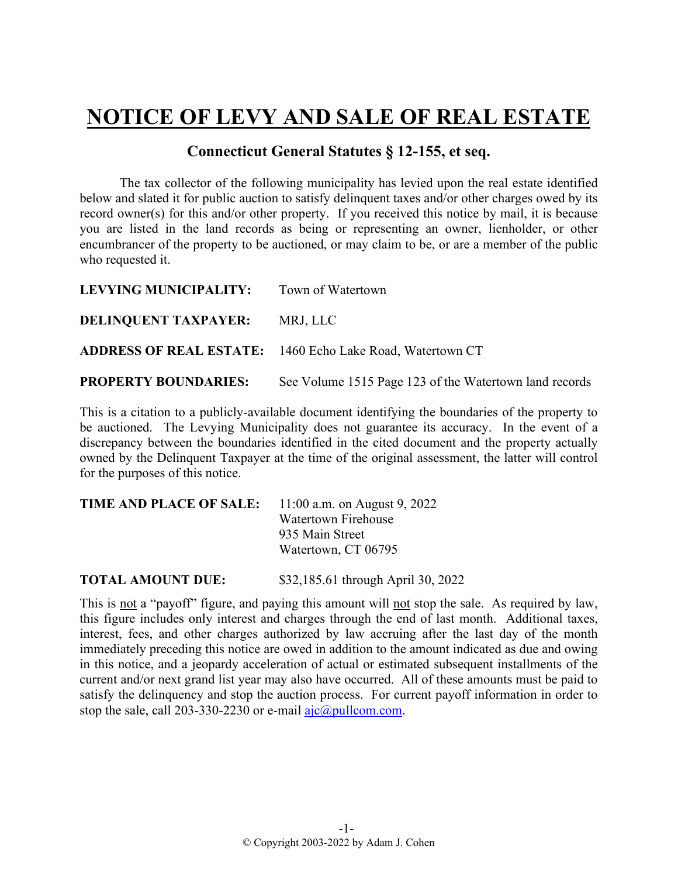## **NOTICE OF LEVY AND SALE OF REAL ESTATE**

## **Connecticut General Statutes § 12-155, et seq.**

The tax collector of the following municipality has levied upon the real estate identified below and slated it for public auction to satisfy delinquent taxes and/or other charges owed by its record owner(s) for this and/or other property. If you received this notice by mail, it is because you are listed in the land records as being or representing an owner, lienholder, or other encumbrancer of the property to be auctioned, or may claim to be, or are a member of the public who requested it.

| LEVYING MUNICIPALITY:       | Town of Watertown                                                |
|-----------------------------|------------------------------------------------------------------|
| <b>DELINQUENT TAXPAYER:</b> | MRJ, LLC                                                         |
|                             | <b>ADDRESS OF REAL ESTATE:</b> 1460 Echo Lake Road, Watertown CT |
| <b>PROPERTY BOUNDARIES:</b> | See Volume 1515 Page 123 of the Watertown land records           |

This is a citation to a publicly-available document identifying the boundaries of the property to be auctioned. The Levying Municipality does not guarantee its accuracy. In the event of a discrepancy between the boundaries identified in the cited document and the property actually owned by the Delinquent Taxpayer at the time of the original assessment, the latter will control for the purposes of this notice.

| TIME AND PLACE OF SALE: | 11:00 a.m. on August 9, 2022 |
|-------------------------|------------------------------|
|                         | Watertown Firehouse          |
|                         | 935 Main Street              |
|                         | Watertown, CT 06795          |
|                         |                              |

**TOTAL AMOUNT DUE:** \$32,185.61 through April 30, 2022

This is not a "payoff" figure, and paying this amount will not stop the sale. As required by law, this figure includes only interest and charges through the end of last month. Additional taxes, interest, fees, and other charges authorized by law accruing after the last day of the month immediately preceding this notice are owed in addition to the amount indicated as due and owing in this notice, and a jeopardy acceleration of actual or estimated subsequent installments of the current and/or next grand list year may also have occurred. All of these amounts must be paid to satisfy the delinquency and stop the auction process. For current payoff information in order to stop the sale, call 203-330-2230 or e-mail  $a$ jc $@p$ ullcom.com.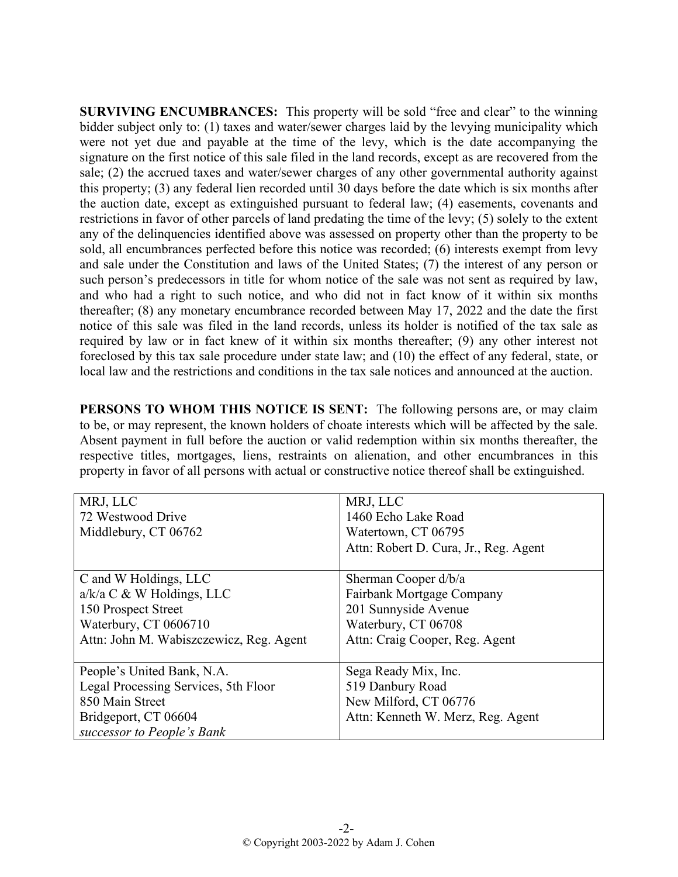**SURVIVING ENCUMBRANCES:** This property will be sold "free and clear" to the winning bidder subject only to: (1) taxes and water/sewer charges laid by the levying municipality which were not yet due and payable at the time of the levy, which is the date accompanying the signature on the first notice of this sale filed in the land records, except as are recovered from the sale; (2) the accrued taxes and water/sewer charges of any other governmental authority against this property; (3) any federal lien recorded until 30 days before the date which is six months after the auction date, except as extinguished pursuant to federal law; (4) easements, covenants and restrictions in favor of other parcels of land predating the time of the levy; (5) solely to the extent any of the delinquencies identified above was assessed on property other than the property to be sold, all encumbrances perfected before this notice was recorded; (6) interests exempt from levy and sale under the Constitution and laws of the United States; (7) the interest of any person or such person's predecessors in title for whom notice of the sale was not sent as required by law, and who had a right to such notice, and who did not in fact know of it within six months thereafter; (8) any monetary encumbrance recorded between May 17, 2022 and the date the first notice of this sale was filed in the land records, unless its holder is notified of the tax sale as required by law or in fact knew of it within six months thereafter; (9) any other interest not foreclosed by this tax sale procedure under state law; and (10) the effect of any federal, state, or local law and the restrictions and conditions in the tax sale notices and announced at the auction.

**PERSONS TO WHOM THIS NOTICE IS SENT:** The following persons are, or may claim to be, or may represent, the known holders of choate interests which will be affected by the sale. Absent payment in full before the auction or valid redemption within six months thereafter, the respective titles, mortgages, liens, restraints on alienation, and other encumbrances in this property in favor of all persons with actual or constructive notice thereof shall be extinguished.

| MRJ, LLC                                | MRJ, LLC                              |
|-----------------------------------------|---------------------------------------|
| 72 Westwood Drive                       | 1460 Echo Lake Road                   |
| Middlebury, CT 06762                    | Watertown, CT 06795                   |
|                                         | Attn: Robert D. Cura, Jr., Reg. Agent |
|                                         |                                       |
| C and W Holdings, LLC                   | Sherman Cooper d/b/a                  |
| $a/k/a$ C & W Holdings, LLC             | Fairbank Mortgage Company             |
| 150 Prospect Street                     | 201 Sunnyside Avenue                  |
| Waterbury, CT 0606710                   | Waterbury, CT 06708                   |
| Attn: John M. Wabiszczewicz, Reg. Agent | Attn: Craig Cooper, Reg. Agent        |
|                                         |                                       |
| People's United Bank, N.A.              | Sega Ready Mix, Inc.                  |
| Legal Processing Services, 5th Floor    | 519 Danbury Road                      |
| 850 Main Street                         | New Milford, CT 06776                 |
| Bridgeport, CT 06604                    | Attn: Kenneth W. Merz, Reg. Agent     |
| successor to People's Bank              |                                       |